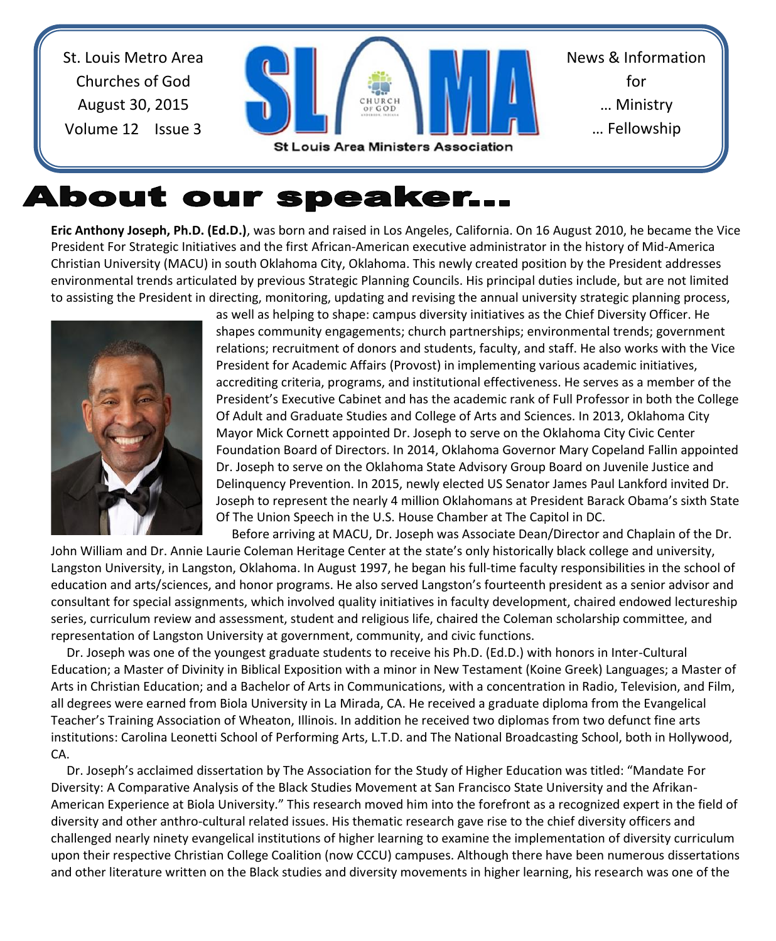St. Louis Metro Area Churches of God August 30, 2015 Volume 12 Issue 3



# About our speaker...

**Eric Anthony Joseph, Ph.D. (Ed.D.)**, was born and raised in Los Angeles, California. On 16 August 2010, he became the Vice President For Strategic Initiatives and the first African-American executive administrator in the history of Mid-America Christian University (MACU) in south Oklahoma City, Oklahoma. This newly created position by the President addresses environmental trends articulated by previous Strategic Planning Councils. His principal duties include, but are not limited to assisting the President in directing, monitoring, updating and revising the annual university strategic planning process,



as well as helping to shape: campus diversity initiatives as the Chief Diversity Officer. He shapes community engagements; church partnerships; environmental trends; government relations; recruitment of donors and students, faculty, and staff. He also works with the Vice President for Academic Affairs (Provost) in implementing various academic initiatives, accrediting criteria, programs, and institutional effectiveness. He serves as a member of the President's Executive Cabinet and has the academic rank of Full Professor in both the College Of Adult and Graduate Studies and College of Arts and Sciences. In 2013, Oklahoma City Mayor Mick Cornett appointed Dr. Joseph to serve on the Oklahoma City Civic Center Foundation Board of Directors. In 2014, Oklahoma Governor Mary Copeland Fallin appointed Dr. Joseph to serve on the Oklahoma State Advisory Group Board on Juvenile Justice and Delinquency Prevention. In 2015, newly elected US Senator James Paul Lankford invited Dr. Joseph to represent the nearly 4 million Oklahomans at President Barack Obama's sixth State Of The Union Speech in the U.S. House Chamber at The Capitol in DC. Before arriving at MACU, Dr. Joseph was Associate Dean/Director and Chaplain of the Dr.

John William and Dr. Annie Laurie Coleman Heritage Center at the state's only historically black college and university, Langston University, in Langston, Oklahoma. In August 1997, he began his full-time faculty responsibilities in the school of education and arts/sciences, and honor programs. He also served Langston's fourteenth president as a senior advisor and consultant for special assignments, which involved quality initiatives in faculty development, chaired endowed lectureship series, curriculum review and assessment, student and religious life, chaired the Coleman scholarship committee, and representation of Langston University at government, community, and civic functions.

 Dr. Joseph was one of the youngest graduate students to receive his Ph.D. (Ed.D.) with honors in Inter-Cultural Education; a Master of Divinity in Biblical Exposition with a minor in New Testament (Koine Greek) Languages; a Master of Arts in Christian Education; and a Bachelor of Arts in Communications, with a concentration in Radio, Television, and Film, all degrees were earned from Biola University in La Mirada, CA. He received a graduate diploma from the Evangelical Teacher's Training Association of Wheaton, Illinois. In addition he received two diplomas from two defunct fine arts institutions: Carolina Leonetti School of Performing Arts, L.T.D. and The National Broadcasting School, both in Hollywood, CA.

 Dr. Joseph's acclaimed dissertation by The Association for the Study of Higher Education was titled: "Mandate For Diversity: A Comparative Analysis of the Black Studies Movement at San Francisco State University and the Afrikan-American Experience at Biola University." This research moved him into the forefront as a recognized expert in the field of diversity and other anthro-cultural related issues. His thematic research gave rise to the chief diversity officers and challenged nearly ninety evangelical institutions of higher learning to examine the implementation of diversity curriculum upon their respective Christian College Coalition (now CCCU) campuses. Although there have been numerous dissertations and other literature written on the Black studies and diversity movements in higher learning, his research was one of the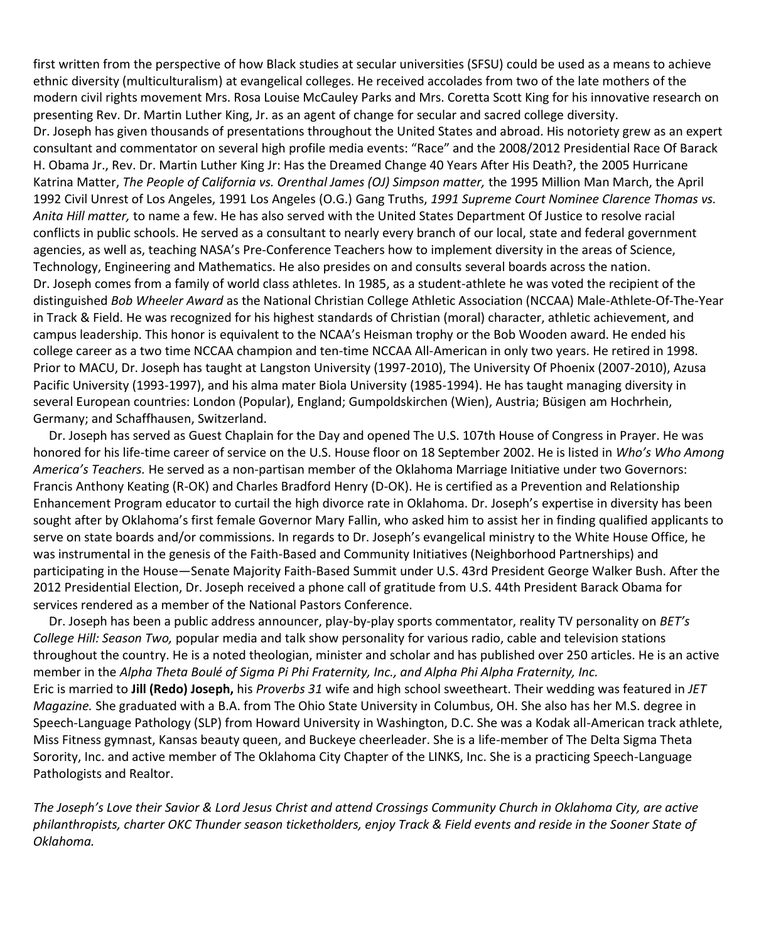first written from the perspective of how Black studies at secular universities (SFSU) could be used as a means to achieve ethnic diversity (multiculturalism) at evangelical colleges. He received accolades from two of the late mothers of the modern civil rights movement Mrs. Rosa Louise McCauley Parks and Mrs. Coretta Scott King for his innovative research on presenting Rev. Dr. Martin Luther King, Jr. as an agent of change for secular and sacred college diversity. Dr. Joseph has given thousands of presentations throughout the United States and abroad. His notoriety grew as an expert consultant and commentator on several high profile media events: "Race" and the 2008/2012 Presidential Race Of Barack H. Obama Jr., Rev. Dr. Martin Luther King Jr: Has the Dreamed Change 40 Years After His Death?, the 2005 Hurricane Katrina Matter, *The People of California vs. Orenthal James (OJ) Simpson matter,* the 1995 Million Man March, the April 1992 Civil Unrest of Los Angeles, 1991 Los Angeles (O.G.) Gang Truths, *1991 Supreme Court Nominee Clarence Thomas vs. Anita Hill matter,* to name a few. He has also served with the United States Department Of Justice to resolve racial conflicts in public schools. He served as a consultant to nearly every branch of our local, state and federal government agencies, as well as, teaching NASA's Pre-Conference Teachers how to implement diversity in the areas of Science, Technology, Engineering and Mathematics. He also presides on and consults several boards across the nation. Dr. Joseph comes from a family of world class athletes. In 1985, as a student-athlete he was voted the recipient of the distinguished *Bob Wheeler Award* as the National Christian College Athletic Association (NCCAA) Male-Athlete-Of-The-Year in Track & Field. He was recognized for his highest standards of Christian (moral) character, athletic achievement, and campus leadership. This honor is equivalent to the NCAA's Heisman trophy or the Bob Wooden award. He ended his college career as a two time NCCAA champion and ten-time NCCAA All-American in only two years. He retired in 1998. Prior to MACU, Dr. Joseph has taught at Langston University (1997-2010), The University Of Phoenix (2007-2010), Azusa Pacific University (1993-1997), and his alma mater Biola University (1985-1994). He has taught managing diversity in several European countries: London (Popular), England; Gumpoldskirchen (Wien), Austria; Büsigen am Hochrhein, Germany; and Schaffhausen, Switzerland.

 Dr. Joseph has served as Guest Chaplain for the Day and opened The U.S. 107th House of Congress in Prayer. He was honored for his life-time career of service on the U.S. House floor on 18 September 2002. He is listed in *Who's Who Among America's Teachers.* He served as a non-partisan member of the Oklahoma Marriage Initiative under two Governors: Francis Anthony Keating (R-OK) and Charles Bradford Henry (D-OK). He is certified as a Prevention and Relationship Enhancement Program educator to curtail the high divorce rate in Oklahoma. Dr. Joseph's expertise in diversity has been sought after by Oklahoma's first female Governor Mary Fallin, who asked him to assist her in finding qualified applicants to serve on state boards and/or commissions. In regards to Dr. Joseph's evangelical ministry to the White House Office, he was instrumental in the genesis of the Faith-Based and Community Initiatives (Neighborhood Partnerships) and participating in the House—Senate Majority Faith-Based Summit under U.S. 43rd President George Walker Bush. After the 2012 Presidential Election, Dr. Joseph received a phone call of gratitude from U.S. 44th President Barack Obama for services rendered as a member of the National Pastors Conference.

 Dr. Joseph has been a public address announcer, play-by-play sports commentator, reality TV personality on *BET's College Hill: Season Two,* popular media and talk show personality for various radio, cable and television stations throughout the country. He is a noted theologian, minister and scholar and has published over 250 articles. He is an active member in the *Alpha Theta Boulé of Sigma Pi Phi Fraternity, Inc., and Alpha Phi Alpha Fraternity, Inc.*  Eric is married to **Jill (Redo) Joseph,** his *Proverbs 31* wife and high school sweetheart. Their wedding was featured in *JET Magazine.* She graduated with a B.A. from The Ohio State University in Columbus, OH. She also has her M.S. degree in Speech-Language Pathology (SLP) from Howard University in Washington, D.C. She was a Kodak all-American track athlete, Miss Fitness gymnast, Kansas beauty queen, and Buckeye cheerleader. She is a life-member of The Delta Sigma Theta Sorority, Inc. and active member of The Oklahoma City Chapter of the LINKS, Inc. She is a practicing Speech-Language Pathologists and Realtor.

*The Joseph's Love their Savior & Lord Jesus Christ and attend Crossings Community Church in Oklahoma City, are active philanthropists, charter OKC Thunder season ticketholders, enjoy Track & Field events and reside in the Sooner State of Oklahoma.*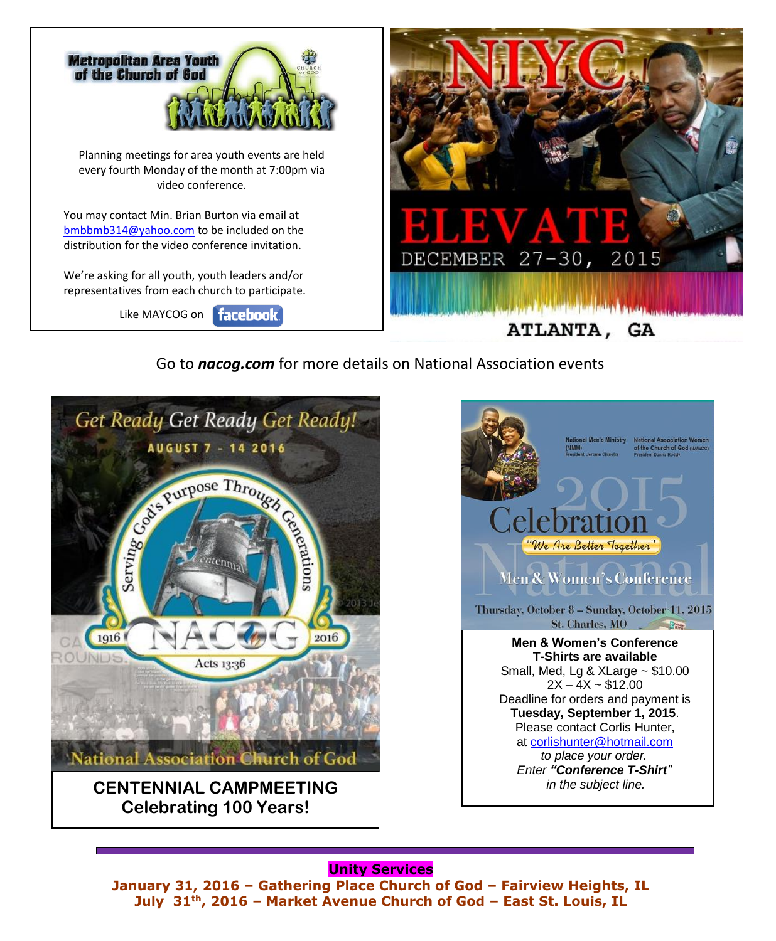

Go to *nacog.com* for more details on National Association events





#### **Unity Services**

**January 31, 2016 – Gathering Place Church of God – Fairview Heights, IL July 31th, 2016 – Market Avenue Church of God – East St. Louis, IL**